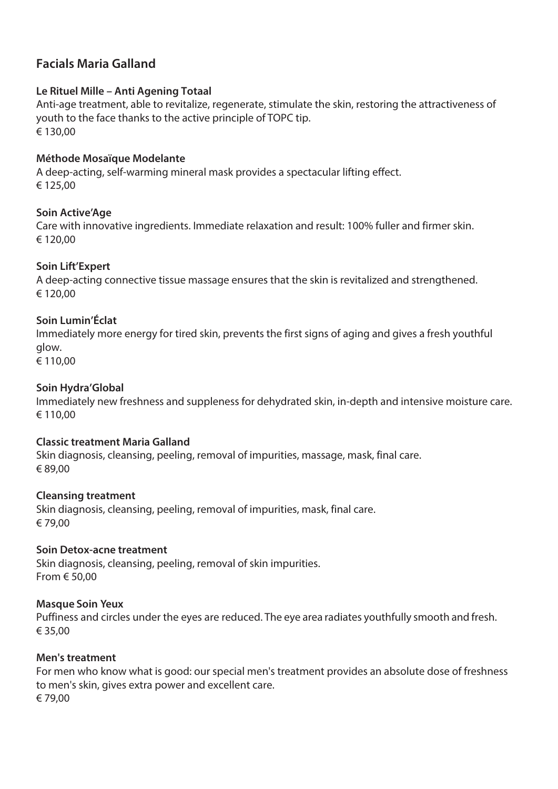# **Facials Maria Galland**

# **Le Rituel Mille – Anti Agening Totaal**

Anti-age treatment, able to revitalize, regenerate, stimulate the skin, restoring the attractiveness of youth to the face thanks to the active principle of TOPC tip. € 130,00

## **Méthode Mosaïque Modelante**

A deep-acting, self-warming mineral mask provides a spectacular lifting effect. € 125,00

## **Soin Active'Age**

Care with innovative ingredients. Immediate relaxation and result: 100% fuller and firmer skin. € 120,00

## **Soin Lift'Expert**

A deep-acting connective tissue massage ensures that the skin is revitalized and strengthened. € 120,00

## **Soin Lumin'Éclat**

Immediately more energy for tired skin, prevents the first signs of aging and gives a fresh youthful glow.

€ 110,00

## **Soin Hydra'Global**

Immediately new freshness and suppleness for dehydrated skin, in-depth and intensive moisture care. € 110,00

#### **Classic treatment Maria Galland**

Skin diagnosis, cleansing, peeling, removal of impurities, massage, mask, final care. € 89,00

#### **Cleansing treatment**

Skin diagnosis, cleansing, peeling, removal of impurities, mask, final care. € 79,00

#### **Soin Detox-acne treatment**

Skin diagnosis, cleansing, peeling, removal of skin impurities. From € 50,00

#### **Masque Soin Yeux**

Puffiness and circles under the eyes are reduced. The eye area radiates youthfully smooth and fresh. € 35,00

#### **Men's treatment**

For men who know what is good: our special men's treatment provides an absolute dose of freshness to men's skin, gives extra power and excellent care. € 79,00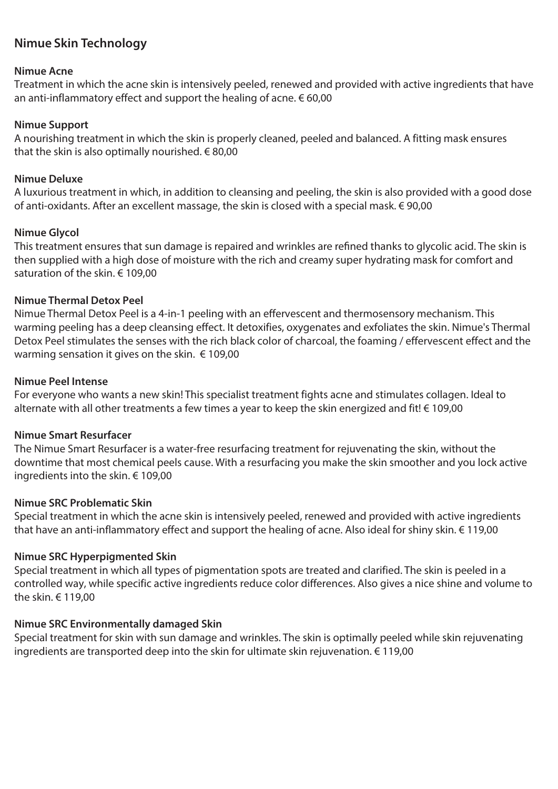# **Nimue Skin Technology**

#### **Nimue Acne**

Treatment in which the acne skin is intensively peeled, renewed and provided with active ingredients that have an anti-inflammatory effect and support the healing of acne.  $\in 60,00$ 

## **Nimue Support**

A nourishing treatment in which the skin is properly cleaned, peeled and balanced. A fitting mask ensures that the skin is also optimally nourished.  $\in$  80,00

#### **Nimue Deluxe**

A luxurious treatment in which, in addition to cleansing and peeling, the skin is also provided with a good dose of anti-oxidants. After an excellent massage, the skin is closed with a special mask. € 90,00

#### **Nimue Glycol**

This treatment ensures that sun damage is repaired and wrinkles are refined thanks to glycolic acid. The skin is then supplied with a high dose of moisture with the rich and creamy super hydrating mask for comfort and saturation of the skin. € 109,00

## **Nimue Thermal Detox Peel**

Nimue Thermal Detox Peel is a 4-in-1 peeling with an effervescent and thermosensory mechanism. This warming peeling has a deep cleansing effect. It detoxifies, oxygenates and exfoliates the skin. Nimue's Thermal Detox Peel stimulates the senses with the rich black color of charcoal, the foaming / effervescent effect and the warming sensation it gives on the skin.  $\epsilon$  109,00

## **Nimue Peel Intense**

For everyone who wants a new skin! This specialist treatment fights acne and stimulates collagen. Ideal to alternate with all other treatments a few times a year to keep the skin energized and fit! € 109,00

#### **Nimue Smart Resurfacer**

The Nimue Smart Resurfacer is a water-free resurfacing treatment for rejuvenating the skin, without the downtime that most chemical peels cause. With a resurfacing you make the skin smoother and you lock active ingredients into the skin. € 109,00

#### **Nimue SRC Problematic Skin**

Special treatment in which the acne skin is intensively peeled, renewed and provided with active ingredients that have an anti-inflammatory effect and support the healing of acne. Also ideal for shiny skin. € 119,00

# **Nimue SRC Hyperpigmented Skin**

Special treatment in which all types of pigmentation spots are treated and clarified. The skin is peeled in a controlled way, while specific active ingredients reduce color differences. Also gives a nice shine and volume to the skin. € 119,00

## **Nimue SRC Environmentally damaged Skin**

Special treatment for skin with sun damage and wrinkles. The skin is optimally peeled while skin rejuvenating ingredients are transported deep into the skin for ultimate skin rejuvenation.  $\epsilon$  119.00